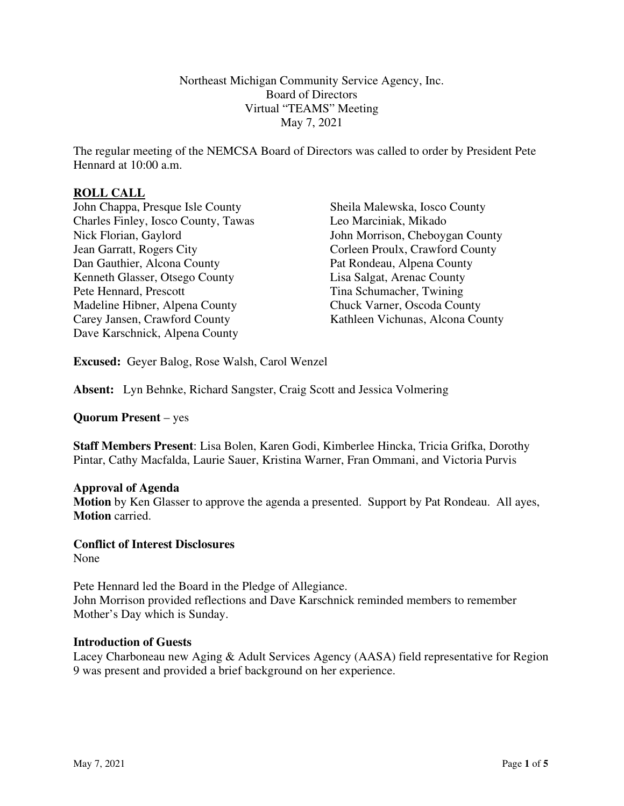Northeast Michigan Community Service Agency, Inc. Board of Directors Virtual "TEAMS" Meeting May 7, 2021

The regular meeting of the NEMCSA Board of Directors was called to order by President Pete Hennard at 10:00 a.m.

# **ROLL CALL**

John Chappa, Presque Isle County Charles Finley, Iosco County, Tawas Nick Florian, Gaylord Jean Garratt, Rogers City Dan Gauthier, Alcona County Kenneth Glasser, Otsego County Pete Hennard, Prescott Madeline Hibner, Alpena County Carey Jansen, Crawford County Dave Karschnick, Alpena County

Sheila Malewska, Iosco County Leo Marciniak, Mikado John Morrison, Cheboygan County Corleen Proulx, Crawford County Pat Rondeau, Alpena County Lisa Salgat, Arenac County Tina Schumacher, Twining Chuck Varner, Oscoda County Kathleen Vichunas, Alcona County

**Excused:** Geyer Balog, Rose Walsh, Carol Wenzel

**Absent:** Lyn Behnke, Richard Sangster, Craig Scott and Jessica Volmering

**Quorum Present** – yes

**Staff Members Present**: Lisa Bolen, Karen Godi, Kimberlee Hincka, Tricia Grifka, Dorothy Pintar, Cathy Macfalda, Laurie Sauer, Kristina Warner, Fran Ommani, and Victoria Purvis

#### **Approval of Agenda**

**Motion** by Ken Glasser to approve the agenda a presented. Support by Pat Rondeau. All ayes, **Motion** carried.

# **Conflict of Interest Disclosures**

None

Pete Hennard led the Board in the Pledge of Allegiance. John Morrison provided reflections and Dave Karschnick reminded members to remember Mother's Day which is Sunday.

#### **Introduction of Guests**

Lacey Charboneau new Aging & Adult Services Agency (AASA) field representative for Region 9 was present and provided a brief background on her experience.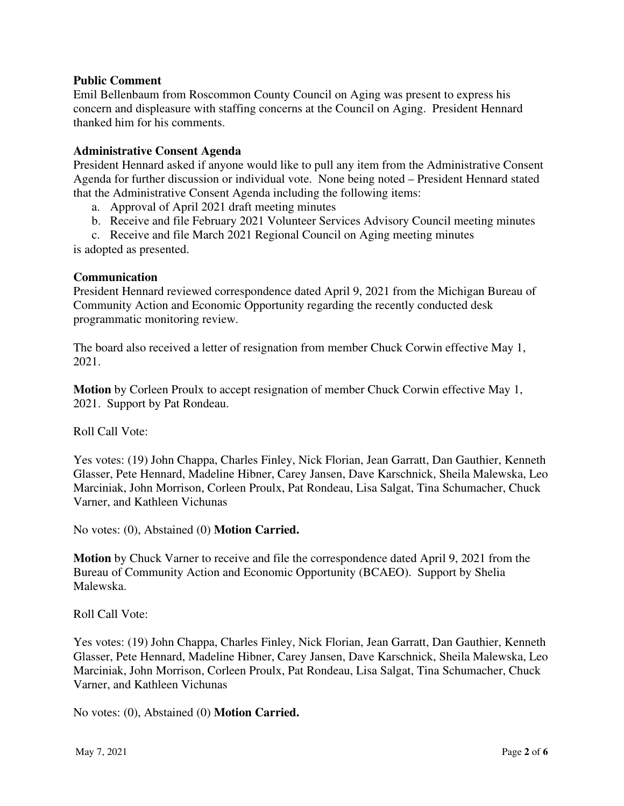## **Public Comment**

Emil Bellenbaum from Roscommon County Council on Aging was present to express his concern and displeasure with staffing concerns at the Council on Aging. President Hennard thanked him for his comments.

#### **Administrative Consent Agenda**

President Hennard asked if anyone would like to pull any item from the Administrative Consent Agenda for further discussion or individual vote. None being noted – President Hennard stated that the Administrative Consent Agenda including the following items:

a. Approval of April 2021 draft meeting minutes

b. Receive and file February 2021 Volunteer Services Advisory Council meeting minutes

c. Receive and file March 2021 Regional Council on Aging meeting minutes is adopted as presented.

#### **Communication**

President Hennard reviewed correspondence dated April 9, 2021 from the Michigan Bureau of Community Action and Economic Opportunity regarding the recently conducted desk programmatic monitoring review.

The board also received a letter of resignation from member Chuck Corwin effective May 1, 2021.

**Motion** by Corleen Proulx to accept resignation of member Chuck Corwin effective May 1, 2021. Support by Pat Rondeau.

Roll Call Vote:

Yes votes: (19) John Chappa, Charles Finley, Nick Florian, Jean Garratt, Dan Gauthier, Kenneth Glasser, Pete Hennard, Madeline Hibner, Carey Jansen, Dave Karschnick, Sheila Malewska, Leo Marciniak, John Morrison, Corleen Proulx, Pat Rondeau, Lisa Salgat, Tina Schumacher, Chuck Varner, and Kathleen Vichunas

No votes: (0), Abstained (0) **Motion Carried.** 

**Motion** by Chuck Varner to receive and file the correspondence dated April 9, 2021 from the Bureau of Community Action and Economic Opportunity (BCAEO). Support by Shelia Malewska.

Roll Call Vote:

Yes votes: (19) John Chappa, Charles Finley, Nick Florian, Jean Garratt, Dan Gauthier, Kenneth Glasser, Pete Hennard, Madeline Hibner, Carey Jansen, Dave Karschnick, Sheila Malewska, Leo Marciniak, John Morrison, Corleen Proulx, Pat Rondeau, Lisa Salgat, Tina Schumacher, Chuck Varner, and Kathleen Vichunas

No votes: (0), Abstained (0) **Motion Carried.**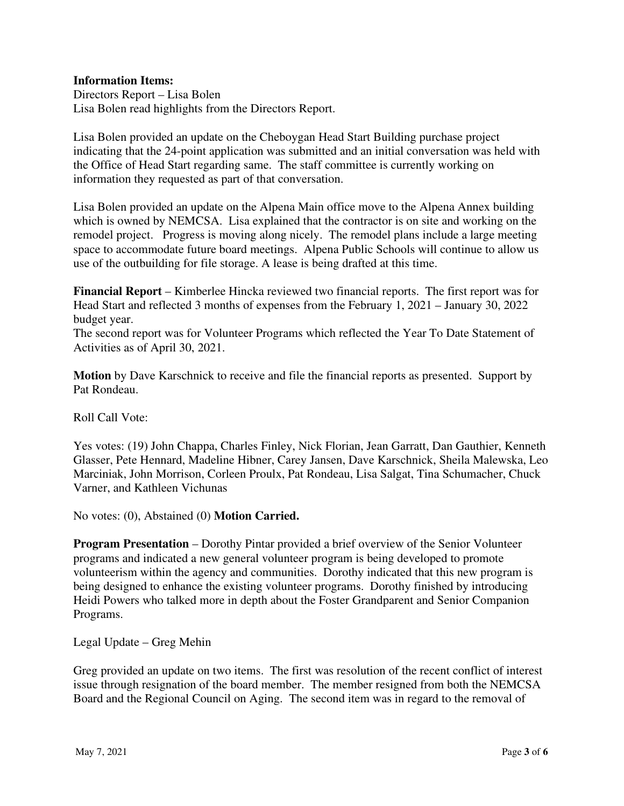# **Information Items:**

Directors Report – Lisa Bolen Lisa Bolen read highlights from the Directors Report.

Lisa Bolen provided an update on the Cheboygan Head Start Building purchase project indicating that the 24-point application was submitted and an initial conversation was held with the Office of Head Start regarding same. The staff committee is currently working on information they requested as part of that conversation.

Lisa Bolen provided an update on the Alpena Main office move to the Alpena Annex building which is owned by NEMCSA. Lisa explained that the contractor is on site and working on the remodel project. Progress is moving along nicely. The remodel plans include a large meeting space to accommodate future board meetings. Alpena Public Schools will continue to allow us use of the outbuilding for file storage. A lease is being drafted at this time.

**Financial Report** – Kimberlee Hincka reviewed two financial reports. The first report was for Head Start and reflected 3 months of expenses from the February 1, 2021 – January 30, 2022 budget year.

The second report was for Volunteer Programs which reflected the Year To Date Statement of Activities as of April 30, 2021.

**Motion** by Dave Karschnick to receive and file the financial reports as presented. Support by Pat Rondeau.

Roll Call Vote:

Yes votes: (19) John Chappa, Charles Finley, Nick Florian, Jean Garratt, Dan Gauthier, Kenneth Glasser, Pete Hennard, Madeline Hibner, Carey Jansen, Dave Karschnick, Sheila Malewska, Leo Marciniak, John Morrison, Corleen Proulx, Pat Rondeau, Lisa Salgat, Tina Schumacher, Chuck Varner, and Kathleen Vichunas

No votes: (0), Abstained (0) **Motion Carried.** 

**Program Presentation** – Dorothy Pintar provided a brief overview of the Senior Volunteer programs and indicated a new general volunteer program is being developed to promote volunteerism within the agency and communities. Dorothy indicated that this new program is being designed to enhance the existing volunteer programs. Dorothy finished by introducing Heidi Powers who talked more in depth about the Foster Grandparent and Senior Companion Programs.

Legal Update – Greg Mehin

Greg provided an update on two items. The first was resolution of the recent conflict of interest issue through resignation of the board member. The member resigned from both the NEMCSA Board and the Regional Council on Aging. The second item was in regard to the removal of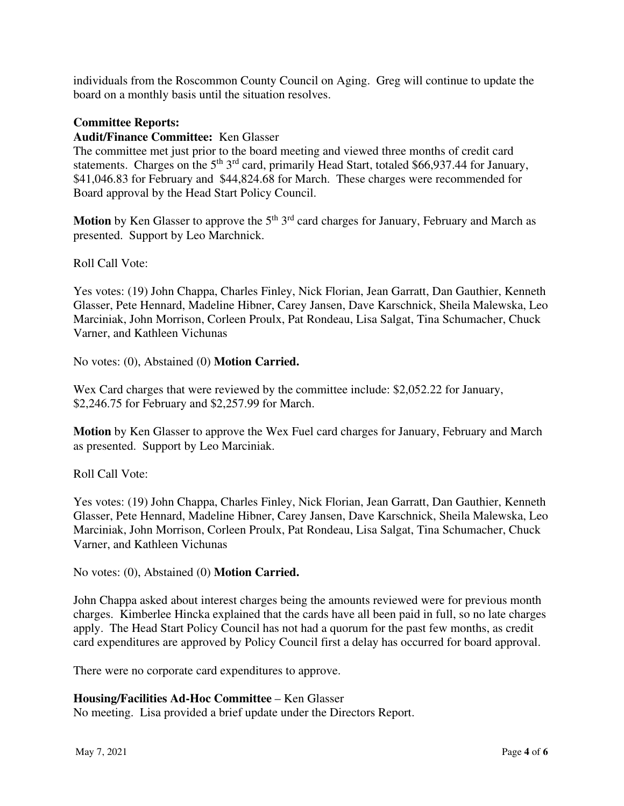individuals from the Roscommon County Council on Aging. Greg will continue to update the board on a monthly basis until the situation resolves.

## **Committee Reports:**

# **Audit/Finance Committee:** Ken Glasser

The committee met just prior to the board meeting and viewed three months of credit card statements. Charges on the  $5<sup>th</sup> 3<sup>rd</sup>$  card, primarily Head Start, totaled \$66,937.44 for January, \$41,046.83 for February and \$44,824.68 for March. These charges were recommended for Board approval by the Head Start Policy Council.

**Motion** by Ken Glasser to approve the 5<sup>th</sup> 3<sup>rd</sup> card charges for January, February and March as presented. Support by Leo Marchnick.

Roll Call Vote:

Yes votes: (19) John Chappa, Charles Finley, Nick Florian, Jean Garratt, Dan Gauthier, Kenneth Glasser, Pete Hennard, Madeline Hibner, Carey Jansen, Dave Karschnick, Sheila Malewska, Leo Marciniak, John Morrison, Corleen Proulx, Pat Rondeau, Lisa Salgat, Tina Schumacher, Chuck Varner, and Kathleen Vichunas

No votes: (0), Abstained (0) **Motion Carried.** 

Wex Card charges that were reviewed by the committee include: \$2,052.22 for January, \$2,246.75 for February and \$2,257.99 for March.

**Motion** by Ken Glasser to approve the Wex Fuel card charges for January, February and March as presented. Support by Leo Marciniak.

Roll Call Vote:

Yes votes: (19) John Chappa, Charles Finley, Nick Florian, Jean Garratt, Dan Gauthier, Kenneth Glasser, Pete Hennard, Madeline Hibner, Carey Jansen, Dave Karschnick, Sheila Malewska, Leo Marciniak, John Morrison, Corleen Proulx, Pat Rondeau, Lisa Salgat, Tina Schumacher, Chuck Varner, and Kathleen Vichunas

No votes: (0), Abstained (0) **Motion Carried.** 

John Chappa asked about interest charges being the amounts reviewed were for previous month charges. Kimberlee Hincka explained that the cards have all been paid in full, so no late charges apply. The Head Start Policy Council has not had a quorum for the past few months, as credit card expenditures are approved by Policy Council first a delay has occurred for board approval.

There were no corporate card expenditures to approve.

## **Housing/Facilities Ad-Hoc Committee** – Ken Glasser

No meeting. Lisa provided a brief update under the Directors Report.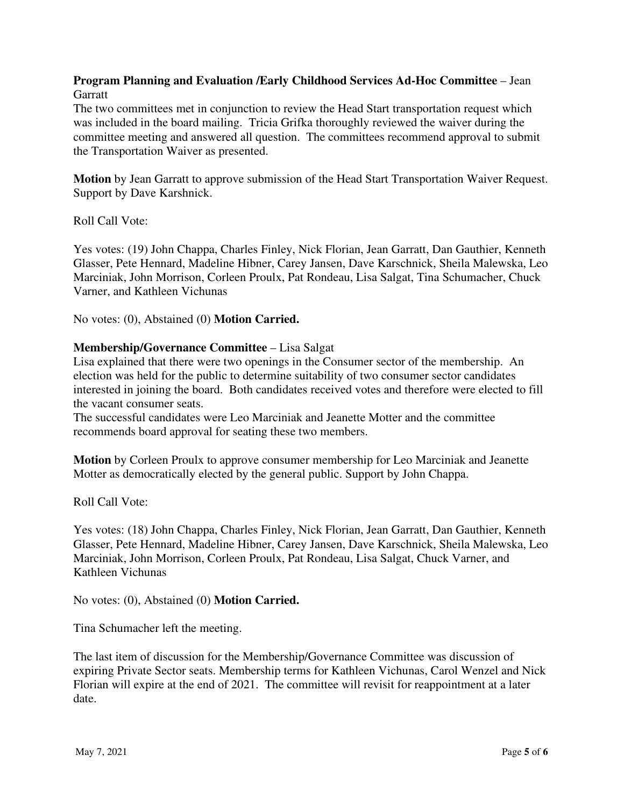# **Program Planning and Evaluation /Early Childhood Services Ad-Hoc Committee** – Jean **Garratt**

The two committees met in conjunction to review the Head Start transportation request which was included in the board mailing. Tricia Grifka thoroughly reviewed the waiver during the committee meeting and answered all question. The committees recommend approval to submit the Transportation Waiver as presented.

**Motion** by Jean Garratt to approve submission of the Head Start Transportation Waiver Request. Support by Dave Karshnick.

Roll Call Vote:

Yes votes: (19) John Chappa, Charles Finley, Nick Florian, Jean Garratt, Dan Gauthier, Kenneth Glasser, Pete Hennard, Madeline Hibner, Carey Jansen, Dave Karschnick, Sheila Malewska, Leo Marciniak, John Morrison, Corleen Proulx, Pat Rondeau, Lisa Salgat, Tina Schumacher, Chuck Varner, and Kathleen Vichunas

No votes: (0), Abstained (0) **Motion Carried.** 

#### **Membership/Governance Committee** – Lisa Salgat

Lisa explained that there were two openings in the Consumer sector of the membership. An election was held for the public to determine suitability of two consumer sector candidates interested in joining the board. Both candidates received votes and therefore were elected to fill the vacant consumer seats.

The successful candidates were Leo Marciniak and Jeanette Motter and the committee recommends board approval for seating these two members.

**Motion** by Corleen Proulx to approve consumer membership for Leo Marciniak and Jeanette Motter as democratically elected by the general public. Support by John Chappa.

Roll Call Vote:

Yes votes: (18) John Chappa, Charles Finley, Nick Florian, Jean Garratt, Dan Gauthier, Kenneth Glasser, Pete Hennard, Madeline Hibner, Carey Jansen, Dave Karschnick, Sheila Malewska, Leo Marciniak, John Morrison, Corleen Proulx, Pat Rondeau, Lisa Salgat, Chuck Varner, and Kathleen Vichunas

No votes: (0), Abstained (0) **Motion Carried.** 

Tina Schumacher left the meeting.

The last item of discussion for the Membership/Governance Committee was discussion of expiring Private Sector seats. Membership terms for Kathleen Vichunas, Carol Wenzel and Nick Florian will expire at the end of 2021. The committee will revisit for reappointment at a later date.